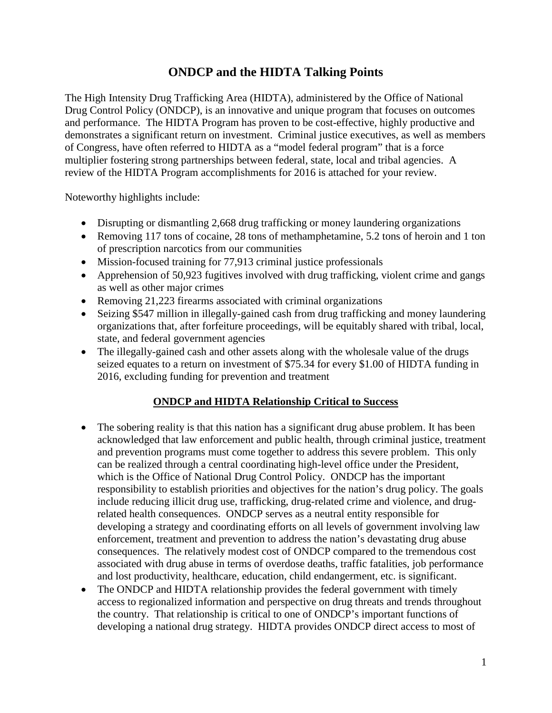# **ONDCP and the HIDTA Talking Points**

The High Intensity Drug Trafficking Area (HIDTA), administered by the Office of National Drug Control Policy (ONDCP), is an innovative and unique program that focuses on outcomes and performance. The HIDTA Program has proven to be cost-effective, highly productive and demonstrates a significant return on investment. Criminal justice executives, as well as members of Congress, have often referred to HIDTA as a "model federal program" that is a force multiplier fostering strong partnerships between federal, state, local and tribal agencies. A review of the HIDTA Program accomplishments for 2016 is attached for your review.

Noteworthy highlights include:

- Disrupting or dismantling 2,668 drug trafficking or money laundering organizations
- Removing 117 tons of cocaine, 28 tons of methamphetamine, 5.2 tons of heroin and 1 ton of prescription narcotics from our communities
- Mission-focused training for 77,913 criminal justice professionals
- Apprehension of 50,923 fugitives involved with drug trafficking, violent crime and gangs as well as other major crimes
- Removing 21,223 firearms associated with criminal organizations
- Seizing \$547 million in illegally-gained cash from drug trafficking and money laundering organizations that, after forfeiture proceedings, will be equitably shared with tribal, local, state, and federal government agencies
- The illegally-gained cash and other assets along with the wholesale value of the drugs seized equates to a return on investment of \$75.34 for every \$1.00 of HIDTA funding in 2016, excluding funding for prevention and treatment

## **ONDCP and HIDTA Relationship Critical to Success**

- The sobering reality is that this nation has a significant drug abuse problem. It has been acknowledged that law enforcement and public health, through criminal justice, treatment and prevention programs must come together to address this severe problem. This only can be realized through a central coordinating high-level office under the President, which is the Office of National Drug Control Policy. ONDCP has the important responsibility to establish priorities and objectives for the nation's drug policy. The goals include reducing illicit drug use, trafficking, drug-related crime and violence, and drugrelated health consequences. ONDCP serves as a neutral entity responsible for developing a strategy and coordinating efforts on all levels of government involving law enforcement, treatment and prevention to address the nation's devastating drug abuse consequences. The relatively modest cost of ONDCP compared to the tremendous cost associated with drug abuse in terms of overdose deaths, traffic fatalities, job performance and lost productivity, healthcare, education, child endangerment, etc. is significant.
- The ONDCP and HIDTA relationship provides the federal government with timely access to regionalized information and perspective on drug threats and trends throughout the country. That relationship is critical to one of ONDCP's important functions of developing a national drug strategy. HIDTA provides ONDCP direct access to most of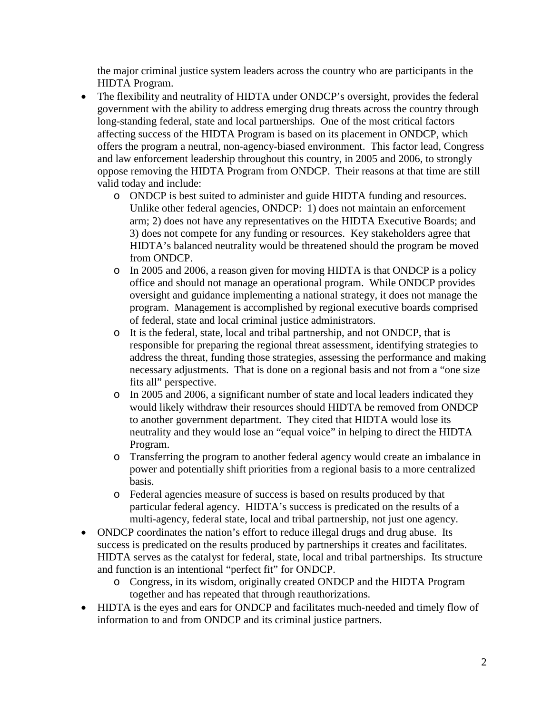the major criminal justice system leaders across the country who are participants in the HIDTA Program.

- The flexibility and neutrality of HIDTA under ONDCP's oversight, provides the federal government with the ability to address emerging drug threats across the country through long-standing federal, state and local partnerships. One of the most critical factors affecting success of the HIDTA Program is based on its placement in ONDCP, which offers the program a neutral, non-agency-biased environment. This factor lead, Congress and law enforcement leadership throughout this country, in 2005 and 2006, to strongly oppose removing the HIDTA Program from ONDCP. Their reasons at that time are still valid today and include:
	- o ONDCP is best suited to administer and guide HIDTA funding and resources. Unlike other federal agencies, ONDCP: 1) does not maintain an enforcement arm; 2) does not have any representatives on the HIDTA Executive Boards; and 3) does not compete for any funding or resources. Key stakeholders agree that HIDTA's balanced neutrality would be threatened should the program be moved from ONDCP.
	- o In 2005 and 2006, a reason given for moving HIDTA is that ONDCP is a policy office and should not manage an operational program. While ONDCP provides oversight and guidance implementing a national strategy, it does not manage the program. Management is accomplished by regional executive boards comprised of federal, state and local criminal justice administrators.
	- o It is the federal, state, local and tribal partnership, and not ONDCP, that is responsible for preparing the regional threat assessment, identifying strategies to address the threat, funding those strategies, assessing the performance and making necessary adjustments. That is done on a regional basis and not from a "one size fits all" perspective.
	- o In 2005 and 2006, a significant number of state and local leaders indicated they would likely withdraw their resources should HIDTA be removed from ONDCP to another government department. They cited that HIDTA would lose its neutrality and they would lose an "equal voice" in helping to direct the HIDTA Program.
	- o Transferring the program to another federal agency would create an imbalance in power and potentially shift priorities from a regional basis to a more centralized basis.
	- o Federal agencies measure of success is based on results produced by that particular federal agency. HIDTA's success is predicated on the results of a multi-agency, federal state, local and tribal partnership, not just one agency.
- ONDCP coordinates the nation's effort to reduce illegal drugs and drug abuse. Its success is predicated on the results produced by partnerships it creates and facilitates. HIDTA serves as the catalyst for federal, state, local and tribal partnerships. Its structure and function is an intentional "perfect fit" for ONDCP.
	- o Congress, in its wisdom, originally created ONDCP and the HIDTA Program together and has repeated that through reauthorizations.
- HIDTA is the eyes and ears for ONDCP and facilitates much-needed and timely flow of information to and from ONDCP and its criminal justice partners.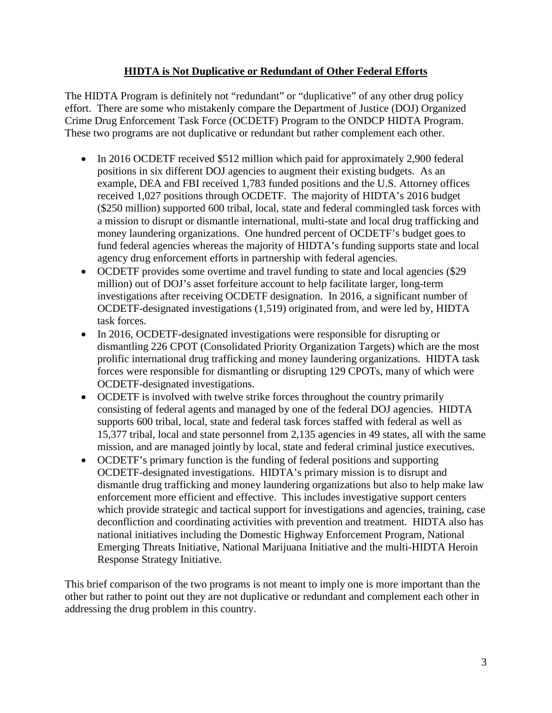## **HIDTA is Not Duplicative or Redundant of Other Federal Efforts**

The HIDTA Program is definitely not "redundant" or "duplicative" of any other drug policy effort. There are some who mistakenly compare the Department of Justice (DOJ) Organized Crime Drug Enforcement Task Force (OCDETF) Program to the ONDCP HIDTA Program. These two programs are not duplicative or redundant but rather complement each other.

- In 2016 OCDETF received \$512 million which paid for approximately 2,900 federal positions in six different DOJ agencies to augment their existing budgets. As an example, DEA and FBI received 1,783 funded positions and the U.S. Attorney offices received 1,027 positions through OCDETF. The majority of HIDTA's 2016 budget (\$250 million) supported 600 tribal, local, state and federal commingled task forces with a mission to disrupt or dismantle international, multi-state and local drug trafficking and money laundering organizations. One hundred percent of OCDETF's budget goes to fund federal agencies whereas the majority of HIDTA's funding supports state and local agency drug enforcement efforts in partnership with federal agencies.
- OCDETF provides some overtime and travel funding to state and local agencies (\$29) million) out of DOJ's asset forfeiture account to help facilitate larger, long-term investigations after receiving OCDETF designation. In 2016, a significant number of OCDETF-designated investigations (1,519) originated from, and were led by, HIDTA task forces.
- In 2016, OCDETF-designated investigations were responsible for disrupting or dismantling 226 CPOT (Consolidated Priority Organization Targets) which are the most prolific international drug trafficking and money laundering organizations. HIDTA task forces were responsible for dismantling or disrupting 129 CPOTs, many of which were OCDETF-designated investigations.
- OCDETF is involved with twelve strike forces throughout the country primarily consisting of federal agents and managed by one of the federal DOJ agencies. HIDTA supports 600 tribal, local, state and federal task forces staffed with federal as well as 15,377 tribal, local and state personnel from 2,135 agencies in 49 states, all with the same mission, and are managed jointly by local, state and federal criminal justice executives.
- OCDETF's primary function is the funding of federal positions and supporting OCDETF-designated investigations. HIDTA's primary mission is to disrupt and dismantle drug trafficking and money laundering organizations but also to help make law enforcement more efficient and effective. This includes investigative support centers which provide strategic and tactical support for investigations and agencies, training, case deconfliction and coordinating activities with prevention and treatment. HIDTA also has national initiatives including the Domestic Highway Enforcement Program, National Emerging Threats Initiative, National Marijuana Initiative and the multi-HIDTA Heroin Response Strategy Initiative.

This brief comparison of the two programs is not meant to imply one is more important than the other but rather to point out they are not duplicative or redundant and complement each other in addressing the drug problem in this country.